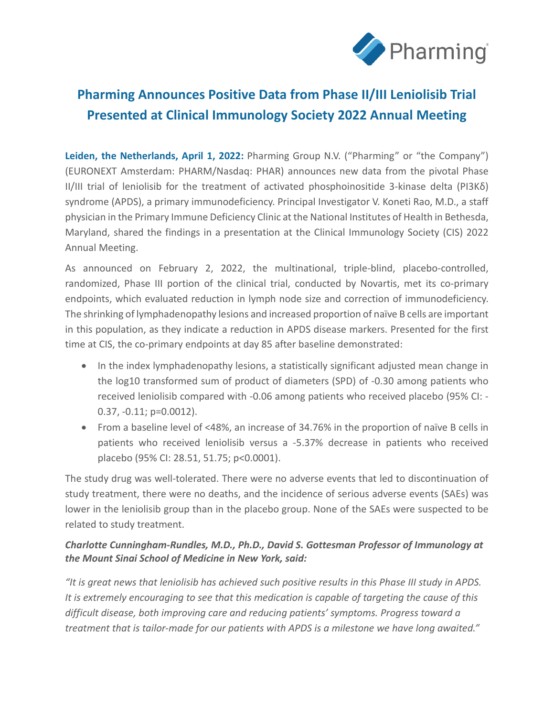

# **Pharming Announces Positive Data from Phase II/III Leniolisib Trial Presented at Clinical Immunology Society 2022 Annual Meeting**

**Leiden, the Netherlands, April 1, 2022:** Pharming Group N.V. ("Pharming" or "the Company") (EURONEXT Amsterdam: PHARM/Nasdaq: PHAR) announces new data from the pivotal Phase II/III trial of leniolisib for the treatment of activated phosphoinositide 3-kinase delta (PI3Kδ) syndrome (APDS), a primary immunodeficiency. Principal Investigator V. Koneti Rao, M.D., a staff physician in the Primary Immune Deficiency Clinic at the National Institutes of Health in Bethesda, Maryland, shared the findings in a presentation at the [Clinical Immunology Society \(CIS\) 2022](https://cis.clinimmsoc.org/education/meetings/am22)  [Annual Meeting.](https://cis.clinimmsoc.org/education/meetings/am22)

As announced on February 2, 2022, the multinational, triple-blind, placebo-controlled, randomized, Phase III portion of the clinical trial, conducted by Novartis, met its co-primary endpoints, which evaluated reduction in lymph node size and correction of immunodeficiency. The shrinking of lymphadenopathy lesions and increased proportion of naïve B cells are important in this population, as they indicate a reduction in APDS disease markers. Presented for the first time at CIS, the co-primary endpoints at day 85 after baseline demonstrated:

- In the index lymphadenopathy lesions, a statistically significant adjusted mean change in the log10 transformed sum of product of diameters (SPD) of -0.30 among patients who received leniolisib compared with -0.06 among patients who received placebo (95% CI: - 0.37, -0.11; p=0.0012).
- From a baseline level of <48%, an increase of 34.76% in the proportion of naïve B cells in patients who received leniolisib versus a -5.37% decrease in patients who received placebo (95% CI: 28.51, 51.75; p˂0.0001).

The study drug was well-tolerated. There were no adverse events that led to discontinuation of study treatment, there were no deaths, and the incidence of serious adverse events (SAEs) was lower in the leniolisib group than in the placebo group. None of the SAEs were suspected to be related to study treatment.

# *Charlotte Cunningham-Rundles, M.D., Ph.D., David S. Gottesman Professor of Immunology at the Mount Sinai School of Medicine in New York, said:*

*"It is great news that leniolisib has achieved such positive results in this Phase III study in APDS. It is extremely encouraging to see that this medication is capable of targeting the cause of this difficult disease, both improving care and reducing patients' symptoms. Progress toward a treatment that is tailor-made for our patients with APDS is a milestone we have long awaited."*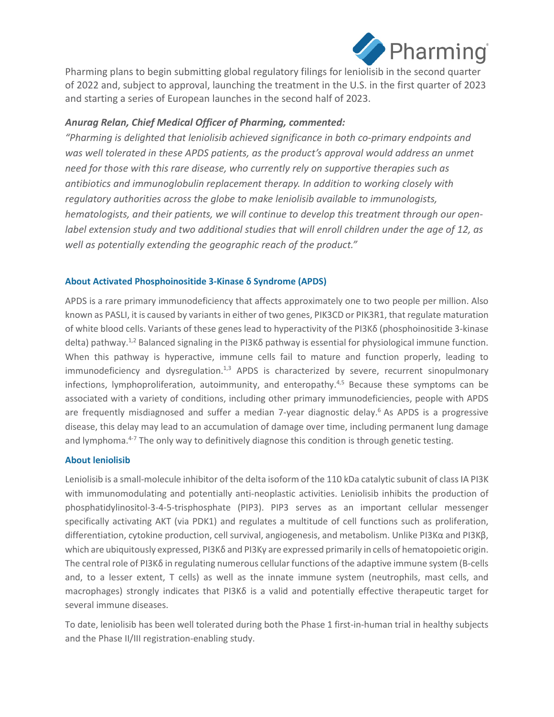

Pharming plans to begin submitting global regulatory filings for leniolisib in the second quarter of 2022 and, subject to approval, launching the treatment in the U.S. in the first quarter of 2023 and starting a series of European launches in the second half of 2023.

# *Anurag Relan, Chief Medical Officer of Pharming, commented:*

*"Pharming is delighted that leniolisib achieved significance in both co-primary endpoints and was well tolerated in these APDS patients, as the product's approval would address an unmet need for those with this rare disease, who currently rely on supportive therapies such as antibiotics and immunoglobulin replacement therapy. In addition to working closely with regulatory authorities across the globe to make leniolisib available to immunologists, hematologists, and their patients, we will continue to develop this treatment through our openlabel extension study and two additional studies that will enroll children under the age of 12, as well as potentially extending the geographic reach of the product."*

## **About Activated Phosphoinositide 3-Kinase δ Syndrome (APDS)**

APDS is a rare primary immunodeficiency that affects approximately one to two people per million. Also known as PASLI, it is caused by variants in either of two genes, PIK3CD or PIK3R1, that regulate maturation of white blood cells. Variants of these genes lead to hyperactivity of the PI3Kδ (phosphoinositide 3-kinase delta) pathway.1,2 Balanced signaling in the PI3Kδ pathway is essential for physiological immune function. When this pathway is hyperactive, immune cells fail to mature and function properly, leading to  $immunodeficiency$  and dysregulation. $1,3$  APDS is characterized by severe, recurrent sinopulmonary infections, lymphoproliferation, autoimmunity, and enteropathy.<sup>4,5</sup> Because these symptoms can be associated with a variety of conditions, including other primary immunodeficiencies, people with APDS are frequently misdiagnosed and suffer a median 7-year diagnostic delay.<sup>6</sup> As APDS is a progressive disease, this delay may lead to an accumulation of damage over time, including permanent lung damage and lymphoma.<sup>4-7</sup> The only way to definitively diagnose this condition is through genetic testing.

## **About leniolisib**

Leniolisib is a small-molecule inhibitor of the delta isoform of the 110 kDa catalytic subunit of class IA PI3K with immunomodulating and potentially anti-neoplastic activities. Leniolisib inhibits the production of phosphatidylinositol-3-4-5-trisphosphate (PIP3). PIP3 serves as an important cellular messenger specifically activating AKT (via PDK1) and regulates a multitude of cell functions such as proliferation, differentiation, cytokine production, cell survival, angiogenesis, and metabolism. Unlike PI3Kα and PI3Kβ, which are ubiquitously expressed, PI3Kδ and PI3Kγ are expressed primarily in cells of hematopoietic origin. The central role of PI3K $\delta$  in regulating numerous cellular functions of the adaptive immune system (B-cells and, to a lesser extent, T cells) as well as the innate immune system (neutrophils, mast cells, and macrophages) strongly indicates that PI3K $\delta$  is a valid and potentially effective therapeutic target for several immune diseases.

To date, leniolisib has been well tolerated during both the Phase 1 first-in-human trial in healthy subjects and the Phase II/III registration-enabling study.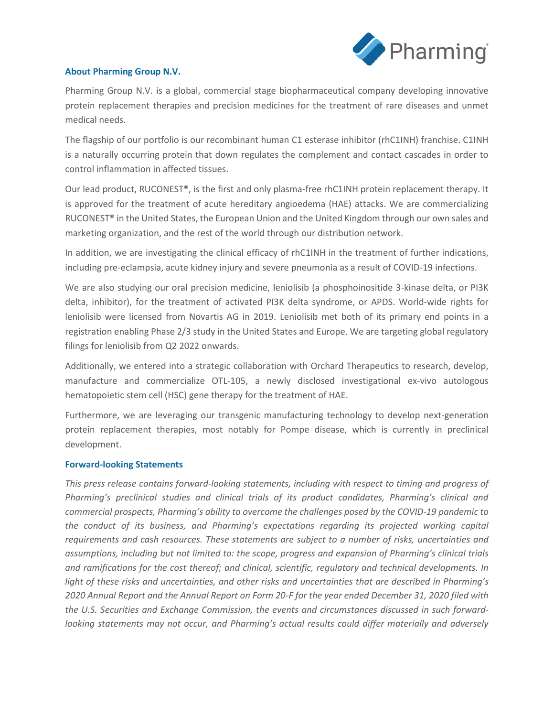

## **About Pharming Group N.V.**

Pharming Group N.V. is a global, commercial stage biopharmaceutical company developing innovative protein replacement therapies and precision medicines for the treatment of rare diseases and unmet medical needs.

The flagship of our portfolio is our recombinant human C1 esterase inhibitor (rhC1INH) franchise. C1INH is a naturally occurring protein that down regulates the complement and contact cascades in order to control inflammation in affected tissues.

Our lead product, RUCONEST®, is the first and only plasma-free rhC1INH protein replacement therapy. It is approved for the treatment of acute hereditary angioedema (HAE) attacks. We are commercializing RUCONEST<sup>®</sup> in the United States, the European Union and the United Kingdom through our own sales and marketing organization, and the rest of the world through our distribution network.

In addition, we are investigating the clinical efficacy of rhC1INH in the treatment of further indications, including pre-eclampsia, acute kidney injury and severe pneumonia as a result of COVID-19 infections.

We are also studying our oral precision medicine, leniolisib (a phosphoinositide 3-kinase delta, or PI3K delta, inhibitor), for the treatment of activated PI3K delta syndrome, or APDS. World-wide rights for leniolisib were licensed from Novartis AG in 2019. Leniolisib met both of its primary end points in a registration enabling Phase 2/3 study in the United States and Europe. We are targeting global regulatory filings for leniolisib from Q2 2022 onwards.

Additionally, we entered into a strategic collaboration with Orchard Therapeutics to research, develop, manufacture and commercialize OTL-105, a newly disclosed investigational ex-vivo autologous hematopoietic stem cell (HSC) gene therapy for the treatment of HAE.

Furthermore, we are leveraging our transgenic manufacturing technology to develop next-generation protein replacement therapies, most notably for Pompe disease, which is currently in preclinical development.

#### **Forward-looking Statements**

*This press release contains forward-looking statements, including with respect to timing and progress of Pharming's preclinical studies and clinical trials of its product candidates, Pharming's clinical and commercial prospects, Pharming's ability to overcome the challenges posed by the COVID-19 pandemic to the conduct of its business, and Pharming's expectations regarding its projected working capital requirements and cash resources. These statements are subject to a number of risks, uncertainties and assumptions, including but not limited to: the scope, progress and expansion of Pharming's clinical trials and ramifications for the cost thereof; and clinical, scientific, regulatory and technical developments. In light of these risks and uncertainties, and other risks and uncertainties that are described in Pharming's 2020 Annual Report and the Annual Report on Form 20-F for the year ended December 31, 2020 filed with the U.S. Securities and Exchange Commission, the events and circumstances discussed in such forwardlooking statements may not occur, and Pharming's actual results could differ materially and adversely*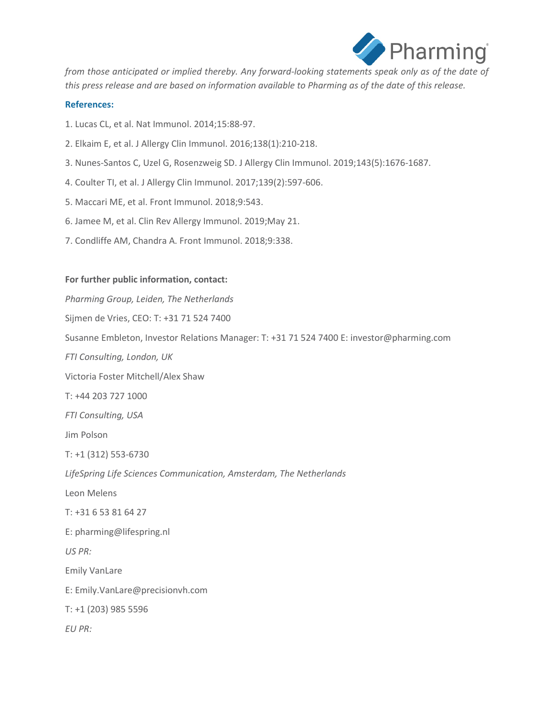

*from those anticipated or implied thereby. Any forward-looking statements speak only as of the date of this press release and are based on information available to Pharming as of the date of this release.*

### **References:**

- 1. Lucas CL, et al. Nat Immunol. 2014;15:88-97.
- 2. Elkaim E, et al. J Allergy Clin Immunol. 2016;138(1):210-218.
- 3. Nunes-Santos C, Uzel G, Rosenzweig SD. J Allergy Clin Immunol. 2019;143(5):1676-1687.
- 4. Coulter TI, et al. J Allergy Clin Immunol. 2017;139(2):597-606.
- 5. Maccari ME, et al. Front Immunol. 2018;9:543.
- 6. Jamee M, et al. Clin Rev Allergy Immunol. 2019;May 21.
- 7. Condliffe AM, Chandra A. Front Immunol. 2018;9:338.

#### **For further public information, contact:**

*Pharming Group, Leiden, The Netherlands* Sijmen de Vries, CEO: T: +31 71 524 7400 Susanne Embleton, Investor Relations Manager: T: +31 71 524 7400 E: investor@pharming.com *FTI Consulting, London, UK*  Victoria Foster Mitchell/Alex Shaw T: +44 203 727 1000 *FTI Consulting, USA* Jim Polson T: +1 (312) 553-6730 *LifeSpring Life Sciences Communication, Amsterdam, The Netherlands* Leon Melens T: +31 6 53 81 64 27 E: pharming@lifespring.nl *US PR:* Emily VanLare E: [Emily.VanLare@precisionvh.com](mailto:Emily.VanLare@precisionvh.com) T: +1 (203) 985 5596 *EU PR:*